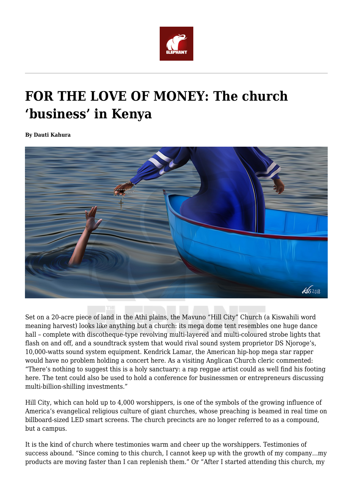

## **FOR THE LOVE OF MONEY: The church 'business' in Kenya**

**By Dauti Kahura**



Set on a 20-acre piece of land in the Athi plains, the Mavuno "Hill City" Church (a Kiswahili word meaning harvest) looks like anything but a church: its mega dome tent resembles one huge dance hall – complete with discotheque-type revolving multi-layered and multi-coloured strobe lights that flash on and off, and a soundtrack system that would rival sound system proprietor DS Njoroge's, 10,000-watts sound system equipment. Kendrick Lamar, the American hip-hop mega star rapper would have no problem holding a concert here. As a visiting Anglican Church cleric commented: "There's nothing to suggest this is a holy sanctuary: a rap reggae artist could as well find his footing here. The tent could also be used to hold a conference for businessmen or entrepreneurs discussing multi-billion-shilling investments."

Hill City, which can hold up to 4,000 worshippers, is one of the symbols of the growing influence of America's evangelical religious culture of giant churches, whose preaching is beamed in real time on billboard-sized LED smart screens. The church precincts are no longer referred to as a compound, but a campus.

It is the kind of church where testimonies warm and cheer up the worshippers. Testimonies of success abound. "Since coming to this church, I cannot keep up with the growth of my company…my products are moving faster than I can replenish them." Or "After I started attending this church, my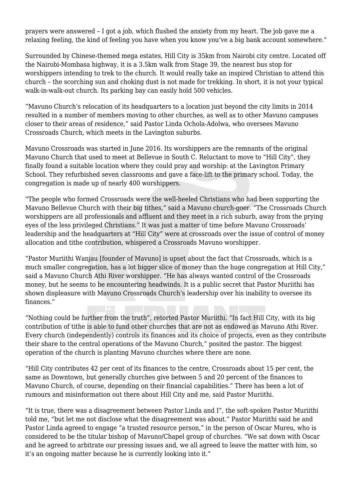prayers were answered – I got a job, which flushed the anxiety from my heart. The job gave me a relaxing feeling, the kind of feeling you have when you know you've a big bank account somewhere."

Surrounded by Chinese-themed mega estates, Hill City is 35km from Nairobi city centre. Located off the Nairobi-Mombasa highway, it is a 3.5km walk from Stage 39, the nearest bus stop for worshippers intending to trek to the church. It would really take an inspired Christian to attend this church – the scorching sun and choking dust is not made for trekking. In short, it is not your typical walk-in-walk-out church. Its parking bay can easily hold 500 vehicles.

"Mavuno Church's relocation of its headquarters to a location just beyond the city limits in 2014 resulted in a number of members moving to other churches, as well as to other Mavuno campuses closer to their areas of residence," said Pastor Linda Ochola-Adolwa, who oversees Mavuno Crossroads Church, which meets in the Lavington suburbs.

Mavuno Crossroads was started in June 2016. Its worshippers are the remnants of the original Mavuno Church that used to meet at Bellevue in South C. Reluctant to move to "Hill City", they finally found a suitable location where they could pray and worship: at the Lavington Primary School. They refurbished seven classrooms and gave a face-lift to the primary school. Today, the congregation is made up of nearly 400 worshippers.

"The people who formed Crossroads were the well-heeled Christians who had been supporting the Mavuno Bellevue Church with their big tithes," said a Mavuno church-goer. "The Crossroads Church worshippers are all professionals and affluent and they meet in a rich suburb, away from the prying eyes of the less privileged Christians." It was just a matter of time before Mavuno Crossroads' leadership and the headquarters at "Hill City" were at crossroads over the issue of control of money allocation and tithe contribution, whispered a Crossroads Mavuno worshipper.

"Pastor Muriithi Wanjau [founder of Mavuno] is upset about the fact that Crossroads, which is a much smaller congregation, has a lot bigger slice of money than the huge congregation at Hill City," said a Mavuno Church Athi River worshipper. "He has always wanted control of the Crossroads money, but he seems to be encountering headwinds. It is a public secret that Pastor Muriithi has shown displeasure with Mavuno Crossroads Church's leadership over his inability to oversee its finances."

"Nothing could be further from the truth", retorted Pastor Muriithi. "In fact Hill City, with its big contribution of tithe is able to fund other churches that are not as endowed as Mavuno Athi River. Every church (independently) controls its finances and its choice of projects, even as they contribute their share to the central operations of the Mavuno Church," posited the pastor. The biggest operation of the church is planting Mavuno churches where there are none.

"Hill City contributes 42 per cent of its finances to the centre, Crossroads about 15 per cent, the same as Downtown, but generally churches give between 5 and 20 percent of the finances to Mavuno Church, of course, depending on their financial capabilities." There has been a lot of rumours and misinformation out there about Hill City and me, said Pastor Muriithi.

"It is true, there was a disagreement between Pastor Linda and I", the soft-spoken Pastor Muriithi told me, "but let me not disclose what the disagreement was about." Pastor Muriithi said he and Pastor Linda agreed to engage "a trusted resource person," in the person of Oscar Mureu, who is considered to be the titular bishop of Mavuno/Chapel group of churches. "We sat down with Oscar and he agreed to arbitrate our pressing issues and, we all agreed to leave the matter with him, so it's an ongoing matter because he is currently looking into it."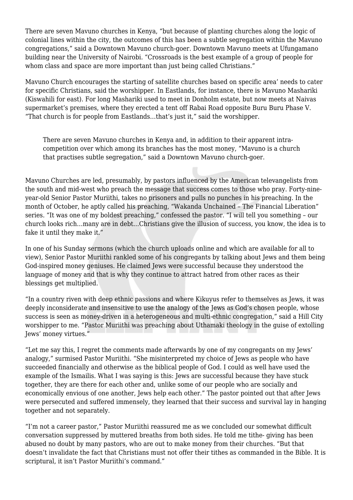There are seven Mavuno churches in Kenya, "but because of planting churches along the logic of colonial lines within the city, the outcomes of this has been a subtle segregation within the Mavuno congregations," said a Downtown Mavuno church-goer. Downtown Mavuno meets at Ufungamano building near the University of Nairobi. "Crossroads is the best example of a group of people for whom class and space are more important than just being called Christians."

Mavuno Church encourages the starting of satellite churches based on specific area' needs to cater for specific Christians, said the worshipper. In Eastlands, for instance, there is Mavuno Mashariki (Kiswahili for east). For long Mashariki used to meet in Donholm estate, but now meets at Naivas supermarket's premises, where they erected a tent off Rabai Road opposite Buru Buru Phase V. "That church is for people from Eastlands…that's just it," said the worshipper.

There are seven Mavuno churches in Kenya and, in addition to their apparent intracompetition over which among its branches has the most money, "Mavuno is a church that practises subtle segregation," said a Downtown Mavuno church-goer.

Mavuno Churches are led, presumably, by pastors influenced by the American televangelists from the south and mid-west who preach the message that success comes to those who pray. Forty-nineyear-old Senior Pastor Muriithi, takes no prisoners and pulls no punches in his preaching. In the month of October, he aptly called his preaching, "Wakanda Unchained – The Financial Liberation" series. "It was one of my boldest preaching," confessed the pastor. "I will tell you something – our church looks rich…many are in debt…Christians give the illusion of success, you know, the idea is to fake it until they make it."

In one of his Sunday sermons (which the church uploads online and which are available for all to view), Senior Pastor Muriithi rankled some of his congregants by talking about Jews and them being God-inspired money geniuses. He claimed Jews were successful because they understood the language of money and that is why they continue to attract hatred from other races as their blessings get multiplied.

"In a country riven with deep ethnic passions and where Kikuyus refer to themselves as Jews, it was deeply inconsiderate and insensitive to use the analogy of the Jews as God's chosen people, whose success is seen as money-driven in a heterogeneous and multi-ethnic congregation," said a Hill City worshipper to me. "Pastor Muriithi was preaching about Uthamaki theology in the guise of extolling Jews' money virtues."

"Let me say this, I regret the comments made afterwards by one of my congregants on my Jews' analogy," surmised Pastor Muriithi. "She misinterpreted my choice of Jews as people who have succeeded financially and otherwise as the biblical people of God. I could as well have used the example of the Ismailis. What I was saying is this: Jews are successful because they have stuck together, they are there for each other and, unlike some of our people who are socially and economically envious of one another, Jews help each other." The pastor pointed out that after Jews were persecuted and suffered immensely, they learned that their success and survival lay in hanging together and not separately.

"I'm not a career pastor," Pastor Muriithi reassured me as we concluded our somewhat difficult conversation suppressed by muttered breaths from both sides. He told me tithe- giving has been abused no doubt by many pastors, who are out to make money from their churches. "But that doesn't invalidate the fact that Christians must not offer their tithes as commanded in the Bible. It is scriptural, it isn't Pastor Muriithi's command."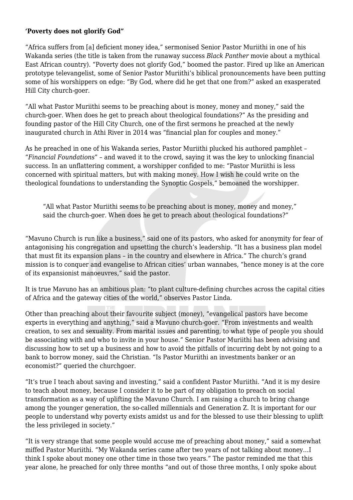## **'Poverty does not glorify God"**

"Africa suffers from [a] deficient money idea," sermonised Senior Pastor Muriithi in one of his Wakanda series (the title is taken from the runaway success *Black Panther* movie about a mythical East African country). "Poverty does not glorify God," boomed the pastor. Fired up like an American prototype televangelist, some of Senior Pastor Muriithi's biblical pronouncements have been putting some of his worshippers on edge: "By God, where did he get that one from?" asked an exasperated Hill City church-goer.

"All what Pastor Muriithi seems to be preaching about is money, money and money," said the church-goer. When does he get to preach about theological foundations?" As the presiding and founding pastor of the Hill City Church, one of the first sermons he preached at the newly inaugurated church in Athi River in 2014 was "financial plan for couples and money."

As he preached in one of his Wakanda series, Pastor Muriithi plucked his authored pamphlet – "*Financial Foundations*" – and waved it to the crowd, saying it was the key to unlocking financial success. In an unflattering comment, a worshipper confided to me: "Pastor Muriithi is less concerned with spiritual matters, but with making money. How I wish he could write on the theological foundations to understanding the Synoptic Gospels," bemoaned the worshipper.

"All what Pastor Muriithi seems to be preaching about is money, money and money," said the church-goer. When does he get to preach about theological foundations?"

"Mavuno Church is run like a business," said one of its pastors, who asked for anonymity for fear of antagonising his congregation and upsetting the church's leadership. "It has a business plan model that must fit its expansion plans – in the country and elsewhere in Africa." The church's grand mission is to conquer and evangelise to African cities' urban wannabes, "hence money is at the core of its expansionist manoeuvres," said the pastor.

It is true Mavuno has an ambitious plan: "to plant culture-defining churches across the capital cities of Africa and the gateway cities of the world," observes Pastor Linda.

Other than preaching about their favourite subject (money), "evangelical pastors have become experts in everything and anything," said a Mavuno church-goer. "From investments and wealth creation, to sex and sexuality. From marital issues and parenting, to what type of people you should be associating with and who to invite in your house." Senior Pastor Muriithi has been advising and discussing how to set up a business and how to avoid the pitfalls of incurring debt by not going to a bank to borrow money, said the Christian. "Is Pastor Muriithi an investments banker or an economist?" queried the churchgoer.

"It's true I teach about saving and investing," said a confident Pastor Muriithi. "And it is my desire to teach about money, because I consider it to be part of my obligation to preach on social transformation as a way of uplifting the Mavuno Church. I am raising a church to bring change among the younger generation, the so-called millennials and Generation Z. It is important for our people to understand why poverty exists amidst us and for the blessed to use their blessing to uplift the less privileged in society."

"It is very strange that some people would accuse me of preaching about money," said a somewhat miffed Pastor Muriithi. "My Wakanda series came after two years of not talking about money…I think I spoke about money one other time in those two years." The pastor reminded me that this year alone, he preached for only three months "and out of those three months, I only spoke about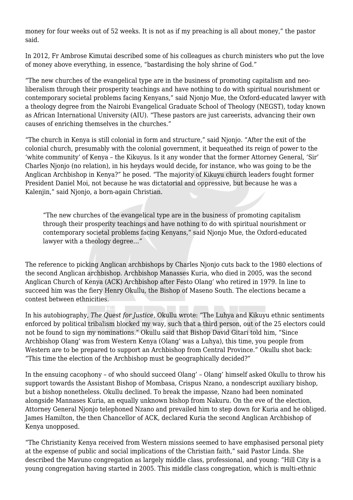money for four weeks out of 52 weeks. It is not as if my preaching is all about money," the pastor said.

In 2012, Fr Ambrose Kimutai described some of his colleagues as church ministers who put the love of money above everything, in essence, "bastardising the holy shrine of God."

"The new churches of the evangelical type are in the business of promoting capitalism and neoliberalism through their prosperity teachings and have nothing to do with spiritual nourishment or contemporary societal problems facing Kenyans," said Njonjo Mue, the Oxford-educated lawyer with a theology degree from the Nairobi Evangelical Graduate School of Theology (NEGST), today known as African International University (AIU). "These pastors are just careerists, advancing their own causes of enriching themselves in the churches."

"The church in Kenya is still colonial in form and structure," said Njonjo. "After the exit of the colonial church, presumably with the colonial government, it bequeathed its reign of power to the 'white community' of Kenya – the Kikuyus. Is it any wonder that the former Attorney General, 'Sir' Charles Njonjo (no relation), in his heydays would decide, for instance, who was going to be the Anglican Archbishop in Kenya?" he posed. "The majority of Kikuyu church leaders fought former President Daniel Moi, not because he was dictatorial and oppressive, but because he was a Kalenjin," said Njonjo, a born-again Christian.

"The new churches of the evangelical type are in the business of promoting capitalism through their prosperity teachings and have nothing to do with spiritual nourishment or contemporary societal problems facing Kenyans," said Njonjo Mue, the Oxford-educated lawyer with a theology degree…"

The reference to picking Anglican archbishops by Charles Njonjo cuts back to the 1980 elections of the second Anglican archbishop. Archbishop Manasses Kuria, who died in 2005, was the second Anglican Church of Kenya (ACK) Archbishop after Festo Olang' who retired in 1979. In line to succeed him was the fiery Henry Okullu, the Bishop of Maseno South. The elections became a contest between ethnicities.

In his autobiography, *The Quest for Justice*, Okullu wrote: "The Luhya and Kikuyu ethnic sentiments enforced by political tribalism blocked my way, such that a third person, out of the 25 electors could not be found to sign my nominations." Okullu said that Bishop David Gitari told him, "Since Archbishop Olang' was from Western Kenya (Olang' was a Luhya), this time, you people from Western are to be prepared to support an Archbishop from Central Province." Okullu shot back: "This time the election of the Archbishop must be geographically decided?"

In the ensuing cacophony – of who should succeed Olang' – Olang' himself asked Okullu to throw his support towards the Assistant Bishop of Mombasa, Crispus Nzano, a nondescript auxiliary bishop, but a bishop nonetheless. Okullu declined. To break the impasse, Nzano had been nominated alongside Mannases Kuria, an equally unknown bishop from Nakuru. On the eve of the election, Attorney General Njonjo telephoned Nzano and prevailed him to step down for Kuria and he obliged. James Hamilton, the then Chancellor of ACK, declared Kuria the second Anglican Archbishop of Kenya unopposed.

"The Christianity Kenya received from Western missions seemed to have emphasised personal piety at the expense of public and social implications of the Christian faith," said Pastor Linda. She described the Mavuno congregation as largely middle class, professional, and young: "Hill City is a young congregation having started in 2005. This middle class congregation, which is multi-ethnic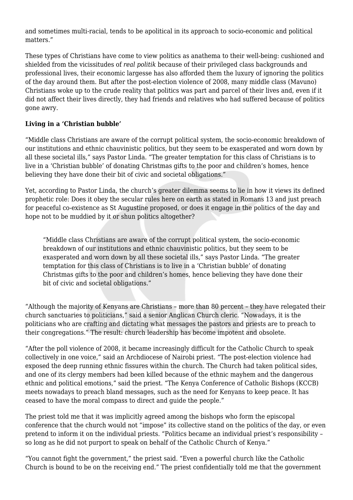and sometimes multi-racial, tends to be apolitical in its approach to socio-economic and political matters."

These types of Christians have come to view politics as anathema to their well-being: cushioned and shielded from the vicissitudes of *real politik* because of their privileged class backgrounds and professional lives, their economic largesse has also afforded them the luxury of ignoring the politics of the day around them. But after the post-election violence of 2008, many middle class (Mavuno) Christians woke up to the crude reality that politics was part and parcel of their lives and, even if it did not affect their lives directly, they had friends and relatives who had suffered because of politics gone awry.

## **Living in a 'Christian bubble'**

"Middle class Christians are aware of the corrupt political system, the socio-economic breakdown of our institutions and ethnic chauvinistic politics, but they seem to be exasperated and worn down by all these societal ills," says Pastor Linda. "The greater temptation for this class of Christians is to live in a 'Christian bubble' of donating Christmas gifts to the poor and children's homes, hence believing they have done their bit of civic and societal obligations."

Yet, according to Pastor Linda, the church's greater dilemma seems to lie in how it views its defined prophetic role: Does it obey the secular rules here on earth as stated in Romans 13 and just preach for peaceful co-existence as St Augustine proposed, or does it engage in the politics of the day and hope not to be muddied by it or shun politics altogether?

"Middle class Christians are aware of the corrupt political system, the socio-economic breakdown of our institutions and ethnic chauvinistic politics, but they seem to be exasperated and worn down by all these societal ills," says Pastor Linda. "The greater temptation for this class of Christians is to live in a 'Christian bubble' of donating Christmas gifts to the poor and children's homes, hence believing they have done their bit of civic and societal obligations."

"Although the majority of Kenyans are Christians – more than 80 percent – they have relegated their church sanctuaries to politicians," said a senior Anglican Church cleric. "Nowadays, it is the politicians who are crafting and dictating what messages the pastors and priests are to preach to their congregations." The result: church leadership has become impotent and obsolete.

"After the poll violence of 2008, it became increasingly difficult for the Catholic Church to speak collectively in one voice," said an Archdiocese of Nairobi priest. "The post-election violence had exposed the deep running ethnic fissures within the church. The Church had taken political sides, and one of its clergy members had been killed because of the ethnic mayhem and the dangerous ethnic and political emotions," said the priest. "The Kenya Conference of Catholic Bishops (KCCB) meets nowadays to preach bland messages, such as the need for Kenyans to keep peace. It has ceased to have the moral compass to direct and guide the people."

The priest told me that it was implicitly agreed among the bishops who form the episcopal conference that the church would not "impose" its collective stand on the politics of the day, or even pretend to inform it on the individual priests. "Politics became an individual priest's responsibility – so long as he did not purport to speak on behalf of the Catholic Church of Kenya."

"You cannot fight the government," the priest said. "Even a powerful church like the Catholic Church is bound to be on the receiving end." The priest confidentially told me that the government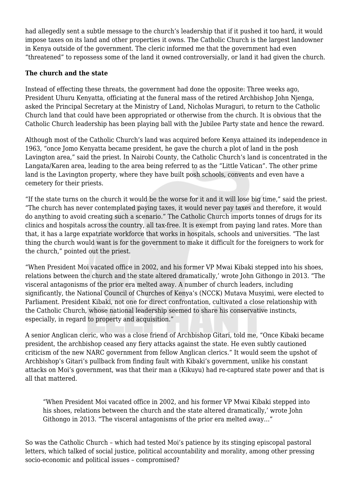had allegedly sent a subtle message to the church's leadership that if it pushed it too hard, it would impose taxes on its land and other properties it owns. The Catholic Church is the largest landowner in Kenya outside of the government. The cleric informed me that the government had even "threatened" to repossess some of the land it owned controversially, or land it had given the church.

## **The church and the state**

Instead of effecting these threats, the government had done the opposite: Three weeks ago, President Uhuru Kenyatta, officiating at the funeral mass of the retired Archbishop John Njenga, asked the Principal Secretary at the Ministry of Land, Nicholas Muraguri, to return to the Catholic Church land that could have been appropriated or otherwise from the church. It is obvious that the Catholic Church leadership has been playing ball with the Jubilee Party state and hence the reward.

Although most of the Catholic Church's land was acquired before Kenya attained its independence in 1963, "once Jomo Kenyatta became president, he gave the church a plot of land in the posh Lavington area," said the priest. In Nairobi County, the Catholic Church's land is concentrated in the Langata/Karen area, leading to the area being referred to as the "Little Vatican". The other prime land is the Lavington property, where they have built posh schools, convents and even have a cemetery for their priests.

"If the state turns on the church it would be the worse for it and it will lose big time," said the priest. "The church has never contemplated paying taxes, it would never pay taxes and therefore, it would do anything to avoid creating such a scenario." The Catholic Church imports tonnes of drugs for its clinics and hospitals across the country, all tax-free. It is exempt from paying land rates. More than that, it has a large expatriate workforce that works in hospitals, schools and universities. "The last thing the church would want is for the government to make it difficult for the foreigners to work for the church," pointed out the priest.

"When President Moi vacated office in 2002, and his former VP Mwai Kibaki stepped into his shoes, relations between the church and the state altered dramatically,' wrote John Githongo in 2013. "The visceral antagonisms of the prior era melted away. A number of church leaders, including significantly, the National Council of Churches of Kenya's (NCCK) Mutava Musyimi, were elected to Parliament. President Kibaki, not one for direct confrontation, cultivated a close relationship with the Catholic Church, whose national leadership seemed to share his conservative instincts, especially, in regard to property and acquisition."

A senior Anglican cleric, who was a close friend of Archbishop Gitari, told me, "Once Kibaki became president, the archbishop ceased any fiery attacks against the state. He even subtly cautioned criticism of the new NARC government from fellow Anglican clerics." It would seem the upshot of Archbishop's Gitari's pullback from finding fault with Kibaki's government, unlike his constant attacks on Moi's government, was that their man a (Kikuyu) had re-captured state power and that is all that mattered.

"When President Moi vacated office in 2002, and his former VP Mwai Kibaki stepped into his shoes, relations between the church and the state altered dramatically,' wrote John Githongo in 2013. "The visceral antagonisms of the prior era melted away…"

So was the Catholic Church – which had tested Moi's patience by its stinging episcopal pastoral letters, which talked of social justice, political accountability and morality, among other pressing socio-economic and political issues – compromised?